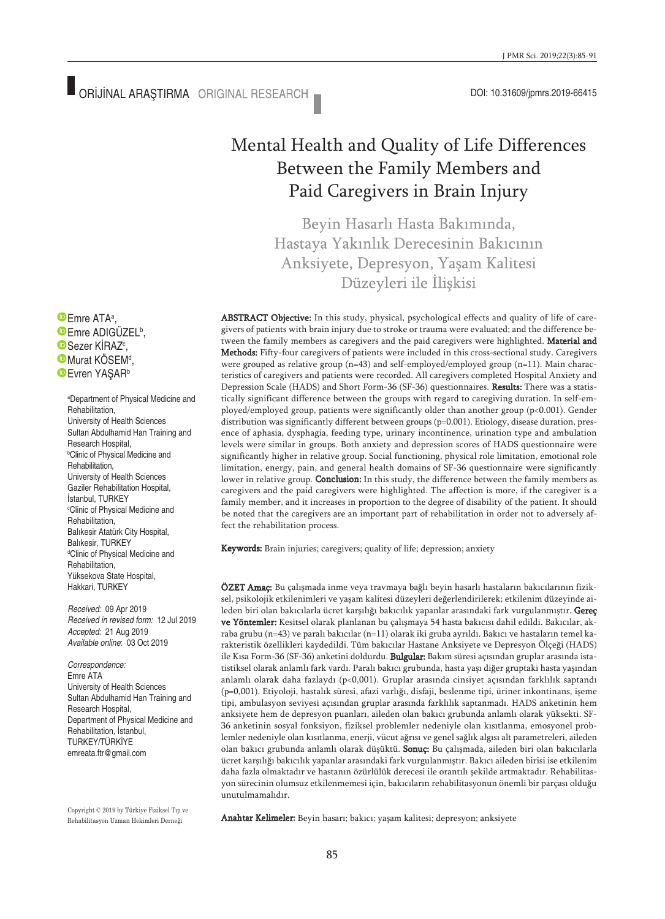## Mental Health and Quality of Life Differences Between the Family Members and Paid Caregivers in Brain Injury

Beyin Hasarlı Hasta Bakımında, Hastaya Yakınlık Derecesinin Bakıcının Anksiyete, Depresyon, Yaşam Kalitesi Düzeyleri ile İlişkisi

ABSTRACT Objective: In this study, physical, psychological effects and quality of life of caregivers of patients with brain injury due to stroke or trauma were evaluated; and the difference between the family members as caregivers and the paid caregivers were highlighted. Material and Methods: Fifty-four caregivers of patients were included in this cross-sectional study. Caregivers were grouped as relative group (n=43) and self-employed/employed group (n=11). Main characteristics of caregivers and patients were recorded. All caregivers completed Hospital Anxiety and Depression Scale (HADS) and Short Form-36 (SF-36) questionnaires. Results: There was a statistically significant difference between the groups with regard to caregiving duration. In self-employed/employed group, patients were significantly older than another group (p<0.001). Gender distribution was significantly different between groups (p=0.001). Etiology, disease duration, presence of aphasia, dysphagia, feeding type, urinary incontinence, urination type and ambulation levels were similar in groups. Both anxiety and depression scores of HADS questionnaire were significantly higher in relative group. Social functioning, physical role limitation, emotional role limitation, energy, pain, and general health domains of SF-36 questionnaire were significantly lower in relative group. Conclusion: In this study, the difference between the family members as caregivers and the paid caregivers were highlighted. The affection is more, if the caregiver is a family member, and it increases in proportion to the degree of disability of the patient. It should be noted that the caregivers are an important part of rehabilitation in order not to adversely affect the rehabilitation process.

Keywords: Brain injuries; caregivers; quality of life; depression; anxiety

ÖZET Amaç: Bu çalışmada inme veya travmaya bağlı beyin hasarlı hastaların bakıcılarının fiziksel, psikolojik etkilenimleri ve yaşam kalitesi düzeyleri değerlendirilerek; etkilenim düzeyinde aileden biri olan bakıcılarla ücret karşılığı bakıcılık yapanlar arasındaki fark vurgulanmıştır. Gereç ve Yöntemler: Kesitsel olarak planlanan bu çalışmaya 54 hasta bakıcısı dahil edildi. Bakıcılar, akraba grubu (n=43) ve paralı bakıcılar (n=11) olarak iki gruba ayrıldı. Bakıcı ve hastaların temel karakteristik özellikleri kaydedildi. Tüm bakıcılar Hastane Anksiyete ve Depresyon Ölçeği (HADS) ile Kısa Form-36 (SF-36) anketini doldurdu. Bulgular: Bakım süresi açısından gruplar arasında istatistiksel olarak anlamlı fark vardı. Paralı bakıcı grubunda, hasta yaşı diğer gruptaki hasta yaşından anlamlı olarak daha fazlaydı (p<0,001). Gruplar arasında cinsiyet açısından farklılık saptandı (p=0,001). Etiyoloji, hastalık süresi, afazi varlığı, disfaji, beslenme tipi, üriner inkontinans, işeme tipi, ambulasyon seviyesi açısından gruplar arasında farklılık saptanmadı. HADS anketinin hem anksiyete hem de depresyon puanları, aileden olan bakıcı grubunda anlamlı olarak yüksekti. SF-36 anketinin sosyal fonksiyon, fiziksel problemler nedeniyle olan kısıtlanma, emosyonel problemler nedeniyle olan kısıtlanma, enerji, vücut ağrısı ve genel sağlık algısı alt parametreleri, aileden olan bakıcı grubunda anlamlı olarak düşüktü. Sonuç: Bu çalışmada, aileden biri olan bakıcılarla ücret karşılığı bakıcılık yapanlar arasındaki fark vurgulanmıştır. Bakıcı aileden birisi ise etkilenim daha fazla olmaktadır ve hastanın özürlülük derecesi ile orantılı şekilde artmaktadır. Rehabilitasyon sürecinin olumsuz etkilenmemesi için, bakıcıların rehabilitasyonun önemli bir parçası olduğu unutulmamalıdır.

Anahtar Kelimeler: Beyin hasarı; bakıcı; yaşam kalitesi; depresyon; anksiyete

Emre ATA<sup>a</sup>, Emre ADIGÜZEL<sup>b</sup>, Sezer KİRAZ<sup>c</sup>, Murat KÖSEM<sup>d</sup>, **Evren YASAR**b

> a Department of Physical Medicine and Rehabilitation, University of Health Sciences Sultan Abdulhamid Han Training and Research Hospital, b Clinic of Physical Medicine and Rehabilitation, University of Health Sciences Gaziler Rehabilitation Hospital, İstanbul, TURKEY c Clinic of Physical Medicine and Rehabilitation, Balıkesir Atatürk City Hospital, Balıkesir, TURKEY d Clinic of Physical Medicine and Rehabilitation, Yüksekova State Hospital, Hakkari, TURKEY

*Received:* 09 Apr 2019 *Received in revised form:* 12 Jul 2019 *Accepted:* 21 Aug 2019 *Available online*: 03 Oct 2019

*Correspondence:* Emre ATA University of Health Sciences Sultan Abdulhamid Han Training and Research Hospital, Department of Physical Medicine and Rehabilitation, İstanbul, TURKEY/TÜRKİYE emreata.ftr@gmail.com

Copyright © 2019 by Türkiye Fiziksel Tıp ve Rehabilitasyon Uzman Hekimleri Derneği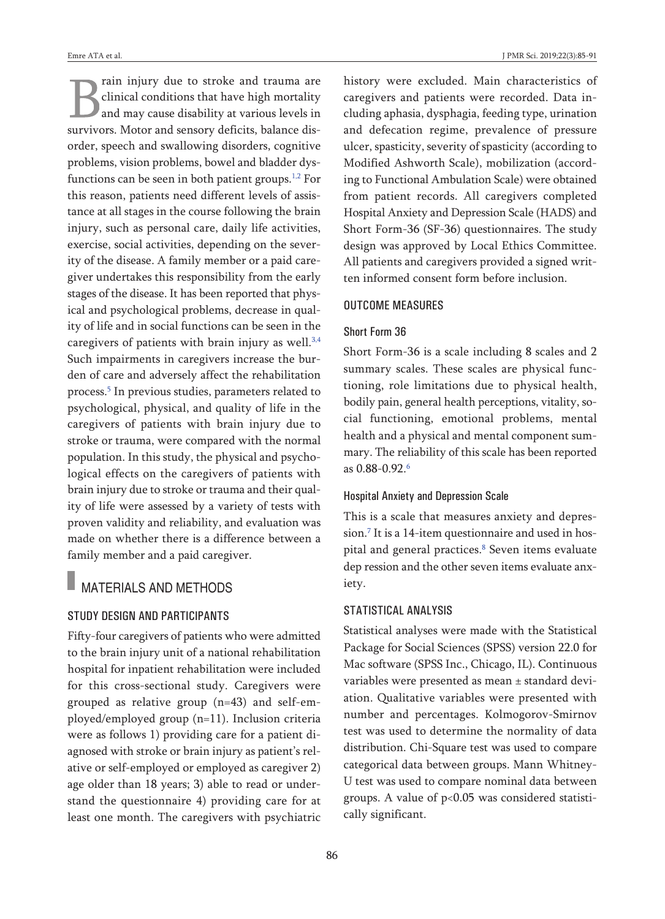rain injury due to stroke and trauma are clinical conditions that have high mortality and may cause disability at various levels in survivors. Motor and sensory deficits, balance disorder, speech and swallowing disorders, cognitive problems, vision problems, bowel and bladder dysfunctions can be seen in both patient groups. [1,2](#page-5-0) For this reason, patients need different levels of assistance at all stages in the course following the brain injury, such as personal care, daily life activities, exercise, social activities, depending on the severity of the disease. A family member or a paid caregiver undertakes this responsibility from the early stages of the disease. It has been reported that physical and psychological problems, decrease in quality of life and in social functions can be seen in the caregivers of patients with brain injury as well.<sup>[3,4](#page-5-0)</sup> Such impairments in caregivers increase the burden of care and adversely affect the rehabilitation process. [5](#page-5-0) In previous studies, parameters related to psychological, physical, and quality of life in the caregivers of patients with brain injury due to stroke or trauma, were compared with the normal population. In this study, the physical and psychological effects on the caregivers of patients with brain injury due to stroke or trauma and their quality of life were assessed by a variety of tests with proven validity and reliability, and evaluation was made on whether there is a difference between a family member and a paid caregiver.

### MATERIALS AND METHODS

#### STUDY DESIGN AND PARTICIPANTS

Fifty-four caregivers of patients who were admitted to the brain injury unit of a national rehabilitation hospital for inpatient rehabilitation were included for this cross-sectional study. Caregivers were grouped as relative group (n=43) and self-employed/employed group (n=11). Inclusion criteria were as follows 1) providing care for a patient diagnosed with stroke or brain injury as patient's relative or self-employed or employed as caregiver 2) age older than 18 years; 3) able to read or understand the questionnaire 4) providing care for at least one month. The caregivers with psychiatric

history were excluded. Main characteristics of caregivers and patients were recorded. Data including aphasia, dysphagia, feeding type, urination and defecation regime, prevalence of pressure ulcer, spasticity, severity of spasticity (according to Modified Ashworth Scale), mobilization (according to Functional Ambulation Scale) were obtained from patient records. All caregivers completed Hospital Anxiety and Depression Scale (HADS) and Short Form-36 (SF-36) questionnaires. The study design was approved by Local Ethics Committee. All patients and caregivers provided a signed written informed consent form before inclusion.

#### OUTCOME MEASURES

### Short Form 36

Short Form-36 is a scale including 8 scales and 2 summary scales. These scales are physical functioning, role limitations due to physical health, bodily pain, general health perceptions, vitality, social functioning, emotional problems, mental health and a physical and mental component summary. The reliability of this scale has been reported as 0.88-0.92. [6](#page-5-0)

#### Hospital Anxiety and Depression Scale

This is a scale that measures anxiety and depression. [7](#page-5-0) It is a 14-item questionnaire and used in hospital and general practices. [8](#page-5-0) Seven items evaluate dep ression and the other seven items evaluate anxiety.

#### STATISTICAL ANALYSIS

Statistical analyses were made with the Statistical Package for Social Sciences (SPSS) version 22.0 for Mac software (SPSS Inc., Chicago, IL). Continuous variables were presented as mean ± standard deviation. Qualitative variables were presented with number and percentages. Kolmogorov-Smirnov test was used to determine the normality of data distribution. Chi-Square test was used to compare categorical data between groups. Mann Whitney-U test was used to compare nominal data between groups. A value of p<0.05 was considered statistically significant.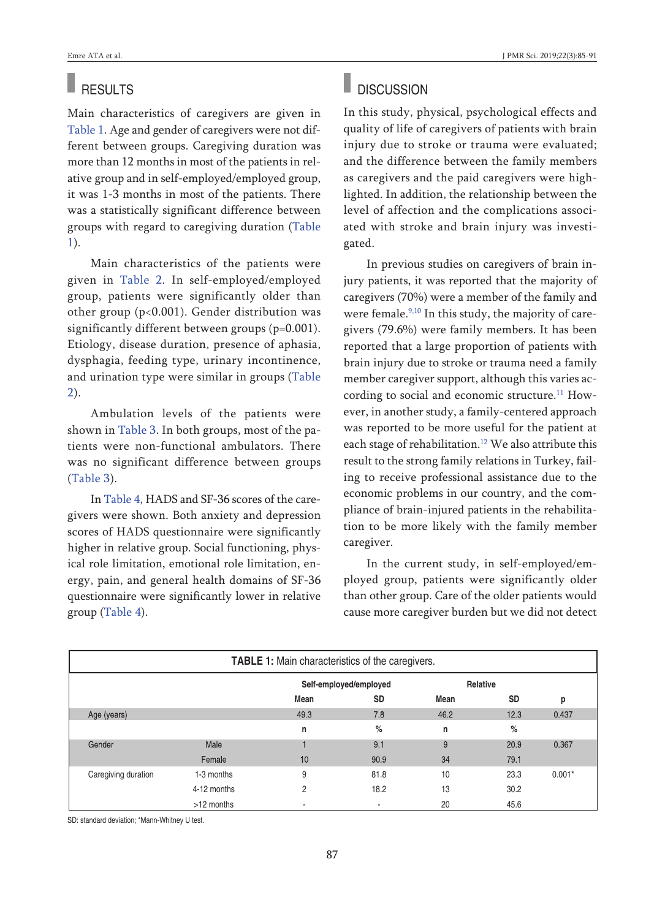# RESULTS

Main characteristics of caregivers are given in [Table](#page-2-0) 1. Age and gender of caregivers were not different between groups. Caregiving duration was more than 12 months in most of the patients in relative group and in self-employed/employed group, it was 1-3 months in most of the patients. There was a statistically significant difference between groups with regard to caregiving duration [\(Table](#page-2-0) [1\)](#page-2-0).

Main characteristics of the patients were given in [Table](#page-3-0) 2. In self-employed/employed group, patients were significantly older than other group (p<0.001). Gender distribution was significantly different between groups (p=0.001). Etiology, disease duration, presence of aphasia, dysphagia, feeding type, urinary incontinence, and urination type were similar in groups [\(Table](#page-3-0) [2\)](#page-3-0).

Ambulation levels of the patients were shown in [Table](#page-4-1) 3. In both groups, most of the patients were non-functional ambulators. There was no significant difference between groups [\(Table](#page-4-1) 3).

In [Table](#page-4-0) 4, HADS and SF-36 scores of the caregivers were shown. Both anxiety and depression scores of HADS questionnaire were significantly higher in relative group. Social functioning, physical role limitation, emotional role limitation, energy, pain, and general health domains of SF-36 questionnaire were significantly lower in relative group [\(Table](#page-4-0) 4).

#### п **DISCUSSION**

In this study, physical, psychological effects and quality of life of caregivers of patients with brain injury due to stroke or trauma were evaluated; and the difference between the family members as caregivers and the paid caregivers were highlighted. In addition, the relationship between the level of affection and the complications associated with stroke and brain injury was investigated.

In previous studies on caregivers of brain injury patients, it was reported that the majority of caregivers (70%) were a member of the family and were female.<sup>[9,10](#page-5-0)</sup> In this study, the majority of caregivers (79.6%) were family members. It has been reported that a large proportion of patients with brain injury due to stroke or trauma need a family member caregiver support, although this varies according to social and economic structure. [11](#page-5-0) However, in another study, a family-centered approach was reported to be more useful for the patient at each stage of rehabilitation.<sup>[12](#page-5-0)</sup> We also attribute this result to the strong family relations in Turkey, failing to receive professional assistance due to the economic problems in our country, and the compliance of brain-injured patients in the rehabilitation to be more likely with the family member caregiver.

<span id="page-2-0"></span>In the current study, in self-employed/employed group, patients were significantly older than other group. Care of the older patients would cause more caregiver burden but we did not detect

| TABLE 1: Main characteristics of the caregivers. |             |                        |           |          |           |          |  |
|--------------------------------------------------|-------------|------------------------|-----------|----------|-----------|----------|--|
|                                                  |             | Self-employed/employed |           | Relative |           |          |  |
|                                                  |             | Mean                   | <b>SD</b> | Mean     | <b>SD</b> | р        |  |
| Age (years)                                      |             | 49.3                   | 7.8       | 46.2     | 12.3      | 0.437    |  |
|                                                  |             | n                      | %         | n        | %         |          |  |
| Gender                                           | Male        |                        | 9.1       | 9        | 20.9      | 0.367    |  |
|                                                  | Female      | 10                     | 90.9      | 34       | 79.1      |          |  |
| Caregiving duration                              | 1-3 months  | 9                      | 81.8      | 10       | 23.3      | $0.001*$ |  |
|                                                  | 4-12 months | 2                      | 18.2      | 13       | 30.2      |          |  |
|                                                  | >12 months  | ٠                      | ۰         | 20       | 45.6      |          |  |

SD: standard deviation; \*Mann-Whitney U test.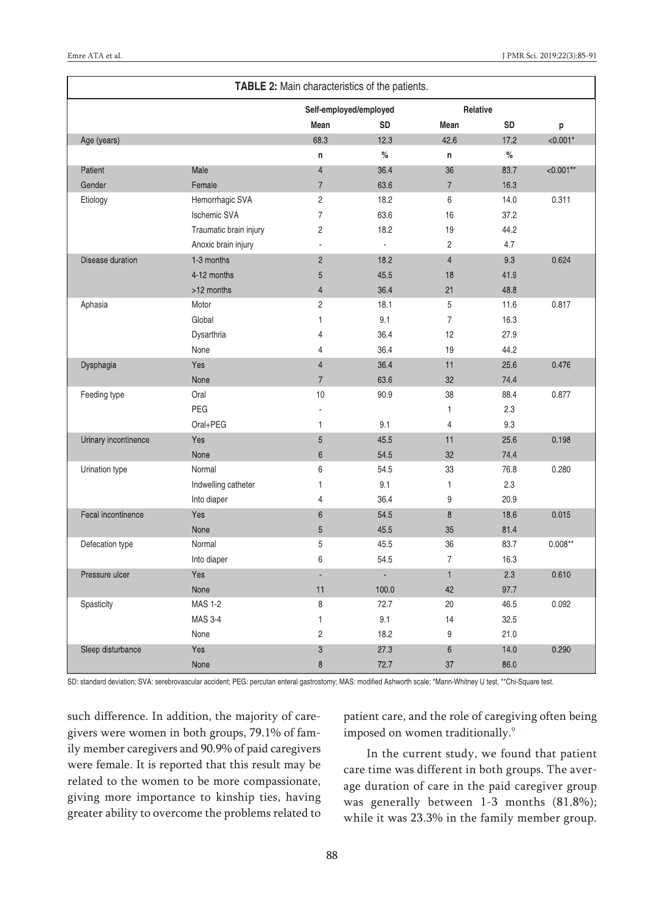<span id="page-3-0"></span>

| TABLE 2: Main characteristics of the patients. |                        |                        |           |                |           |             |
|------------------------------------------------|------------------------|------------------------|-----------|----------------|-----------|-------------|
|                                                |                        | Self-employed/employed |           | Relative       |           |             |
|                                                |                        | Mean                   | <b>SD</b> | Mean           | <b>SD</b> | p           |
| Age (years)                                    |                        | 68.3                   | 12.3      | 42.6           | 17.2      | $< 0.001*$  |
|                                                |                        | n                      | $\%$      | n              | $\%$      |             |
| Patient                                        | Male                   | $\overline{4}$         | 36.4      | 36             | 83.7      | $< 0.001**$ |
| Gender                                         | Female                 | $\overline{7}$         | 63.6      | $\overline{7}$ | 16.3      |             |
| Etiology                                       | Hemorrhagic SVA        | $\overline{c}$         | 18.2      | 6              | 14.0      | 0.311       |
|                                                | <b>Ischemic SVA</b>    | $\overline{7}$         | 63.6      | 16             | 37.2      |             |
|                                                | Traumatic brain injury | $\overline{c}$         | 18.2      | 19             | 44.2      |             |
|                                                | Anoxic brain injury    | ÷,                     | ä,        | 2              | 4.7       |             |
| Disease duration                               | 1-3 months             | $\overline{2}$         | 18.2      | $\overline{4}$ | 9.3       | 0.624       |
|                                                | 4-12 months            | 5                      | 45.5      | 18             | 41.9      |             |
|                                                | >12 months             | $\overline{4}$         | 36.4      | 21             | 48.8      |             |
| Aphasia                                        | Motor                  | $\overline{2}$         | 18.1      | 5              | 11.6      | 0.817       |
|                                                | Global                 | $\mathbf{1}$           | 9.1       | $\overline{7}$ | 16.3      |             |
|                                                | Dysarthria             | $\overline{4}$         | 36.4      | 12             | 27.9      |             |
|                                                | None                   | $\overline{4}$         | 36.4      | 19             | 44.2      |             |
| Dysphagia                                      | Yes                    | $\overline{4}$         | 36.4      | 11             | 25.6      | 0.476       |
|                                                | None                   | $\overline{7}$         | 63.6      | 32             | 74.4      |             |
| Feeding type                                   | Oral                   | 10                     | 90.9      | 38             | 88.4      | 0.877       |
|                                                | PEG                    |                        |           | 1              | 2.3       |             |
|                                                | Oral+PEG               | 1                      | 9.1       | 4              | 9.3       |             |
| Urinary incontinence                           | Yes                    | 5                      | 45.5      | 11             | 25.6      | 0.198       |
|                                                | None                   | $6\phantom{1}$         | 54.5      | 32             | 74.4      |             |
| Urination type                                 | Normal                 | 6                      | 54.5      | 33             | 76.8      | 0.280       |
|                                                | Indwelling catheter    | $\mathbf{1}$           | 9.1       | 1              | 2.3       |             |
|                                                | Into diaper            | $\overline{4}$         | 36.4      | 9              | 20.9      |             |
| Fecal incontinence                             | Yes                    | $6\phantom{1}$         | 54.5      | 8              | 18.6      | 0.015       |
|                                                | None                   | 5                      | 45.5      | 35             | 81.4      |             |
| Defecation type                                | Normal                 | $5\,$                  | 45.5      | 36             | 83.7      | $0.008**$   |
|                                                | Into diaper            | 6                      | 54.5      | $\overline{7}$ | 16.3      |             |
| Pressure ulcer                                 | Yes                    |                        | L,        | $\mathbf{1}$   | 2.3       | 0.610       |
|                                                | None                   | 11                     | 100.0     | 42             | 97.7      |             |
| Spasticity                                     | <b>MAS 1-2</b>         | 8                      | 72.7      | 20             | 46.5      | 0.092       |
|                                                | <b>MAS 3-4</b>         | $\mathbf{1}$           | 9.1       | 14             | 32.5      |             |
|                                                | None                   | $\overline{c}$         | 18.2      | 9              | 21.0      |             |
| Sleep disturbance                              | Yes                    | 3                      | 27.3      | 6              | 14.0      | 0.290       |
|                                                | None                   | 8                      | 72.7      | 37             | 86.0      |             |

SD: standard deviation; SVA: serebrovascular accident; PEG: percutan enteral gastrostomy; MAS: modified Ashworth scale; \*Mann-Whitney U test, \*\*Chi-Square test.

such difference. In addition, the majority of caregivers were women in both groups, 79.1% of family member caregivers and 90.9% of paid caregivers were female. It is reported that this result may be related to the women to be more compassionate, giving more importance to kinship ties, having greater ability to overcome the problems related to patient care, and the role of caregiving often being imposed on women traditionally. [9](#page-5-0)

In the current study, we found that patient care time was different in both groups. The average duration of care in the paid caregiver group was generally between 1-3 months (81.8%); while it was 23.3% in the family member group.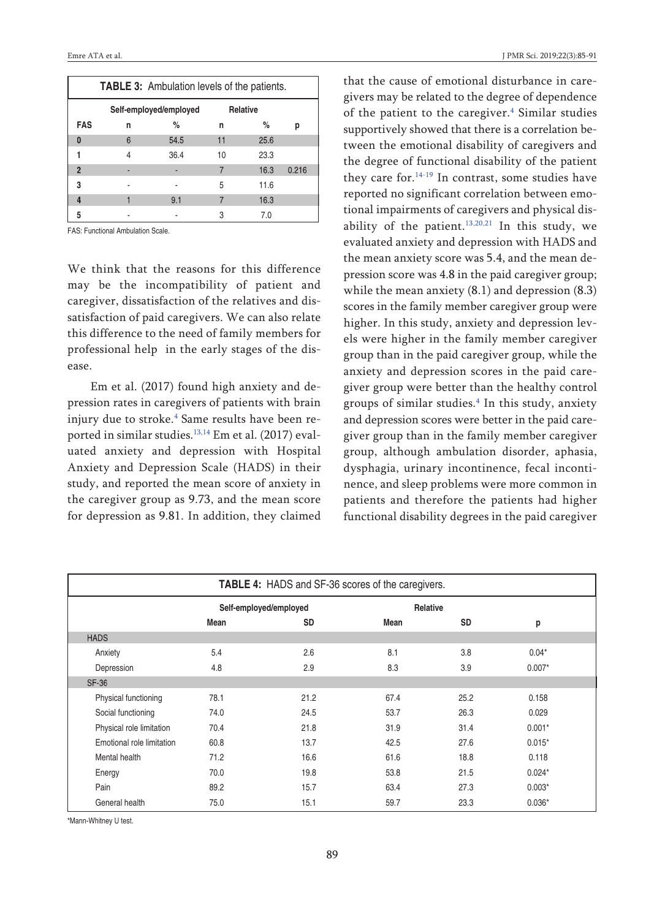|                |   | <b>TABLE 3:</b> Ambulation levels of the patients. |                 |      |       |
|----------------|---|----------------------------------------------------|-----------------|------|-------|
|                |   | Self-employed/employed                             | <b>Relative</b> |      |       |
| <b>FAS</b>     | n | $\%$                                               | n               | %    | р     |
| 0              | 6 | 54.5                                               | 11              | 25.6 |       |
|                | 4 | 36.4                                               | 10              | 23.3 |       |
| $\overline{2}$ |   |                                                    | 7               | 16.3 | 0.216 |
| 3              |   |                                                    | 5               | 11.6 |       |
| 4              |   | 9.1                                                |                 | 16.3 |       |
| 5              |   |                                                    | 3               | 7.0  |       |

FAS: Functional Ambulation Scale.

We think that the reasons for this difference may be the incompatibility of patient and caregiver, dissatisfaction of the relatives and dissatisfaction of paid caregivers. We can also relate this difference to the need of family members for professional help in the early stages of the disease.

Em et al. (2017) found high anxiety and depression rates in caregivers of patients with brain injury due to stroke. [4](#page-5-0) Same results have been reported in similar studies. [13,14](#page-5-0) Em et al. (2017) evaluated anxiety and depression with Hospital Anxiety and Depression Scale (HADS) in their study, and reported the mean score of anxiety in the caregiver group as 9.73, and the mean score for depression as 9.81. In addition, they claimed

<span id="page-4-1"></span><span id="page-4-0"></span>that the cause of emotional disturbance in caregivers may be related to the degree of dependence of the patient to the caregiver. [4](#page-5-0) Similar studies supportively showed that there is a correlation between the emotional disability of caregivers and the degree of functional disability of the patient they care for. [14-19](#page-5-0) In contrast, some studies have reported no significant correlation between emotional impairments of caregivers and physical disability of the patient. $13,20,21$  In this study, we evaluated anxiety and depression with HADS and the mean anxiety score was 5.4, and the mean depression score was 4.8 in the paid caregiver group; while the mean anxiety (8.1) and depression (8.3) scores in the family member caregiver group were higher. In this study, anxiety and depression levels were higher in the family member caregiver group than in the paid caregiver group, while the anxiety and depression scores in the paid caregiver group were better than the healthy control groups of similar studies. [4](#page-5-0) In this study, anxiety and depression scores were better in the paid caregiver group than in the family member caregiver group, although ambulation disorder, aphasia, dysphagia, urinary incontinence, fecal incontinence, and sleep problems were more common in patients and therefore the patients had higher functional disability degrees in the paid caregiver

| TABLE 4: HADS and SF-36 scores of the caregivers. |                        |           |          |           |          |  |
|---------------------------------------------------|------------------------|-----------|----------|-----------|----------|--|
|                                                   | Self-employed/employed |           | Relative |           |          |  |
|                                                   | Mean                   | <b>SD</b> | Mean     | <b>SD</b> | р        |  |
| <b>HADS</b>                                       |                        |           |          |           |          |  |
| Anxiety                                           | 5.4                    | 2.6       | 8.1      | 3.8       | $0.04*$  |  |
| Depression                                        | 4.8                    | 2.9       | 8.3      | 3.9       | $0.007*$ |  |
| <b>SF-36</b>                                      |                        |           |          |           |          |  |
| Physical functioning                              | 78.1                   | 21.2      | 67.4     | 25.2      | 0.158    |  |
| Social functioning                                | 74.0                   | 24.5      | 53.7     | 26.3      | 0.029    |  |
| Physical role limitation                          | 70.4                   | 21.8      | 31.9     | 31.4      | $0.001*$ |  |
| Emotional role limitation                         | 60.8                   | 13.7      | 42.5     | 27.6      | $0.015*$ |  |
| Mental health                                     | 71.2                   | 16.6      | 61.6     | 18.8      | 0.118    |  |
| Energy                                            | 70.0                   | 19.8      | 53.8     | 21.5      | $0.024*$ |  |
| Pain                                              | 89.2                   | 15.7      | 63.4     | 27.3      | $0.003*$ |  |
| General health                                    | 75.0                   | 15.1      | 59.7     | 23.3      | $0.036*$ |  |

\*Mann-Whitney U test.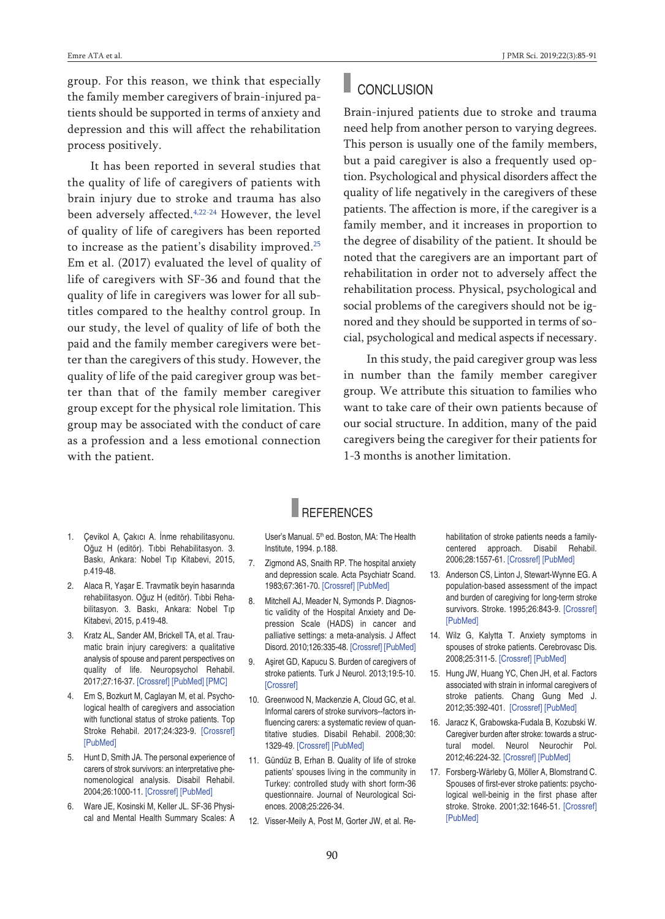group. For this reason, we think that especially the family member caregivers of brain-injured patients should be supported in terms of anxiety and depression and this will affect the rehabilitation process positively.

It has been reported in several studies that the quality of life of caregivers of patients with brain injury due to stroke and trauma has also been adversely affected.<sup>[4,22-24](#page-5-0)</sup> However, the level of quality of life of caregivers has been reported to increase as the patient's disability improved. [25](#page-5-0) Em et al. (2017) evaluated the level of quality of life of caregivers with SF-36 and found that the quality of life in caregivers was lower for all subtitles compared to the healthy control group. In our study, the level of quality of life of both the paid and the family member caregivers were better than the caregivers of this study. However, the quality of life of the paid caregiver group was better than that of the family member caregiver group except for the physical role limitation. This group may be associated with the conduct of care as a profession and a less emotional connection with the patient.

## **CONCLUSION**

Brain-injured patients due to stroke and trauma need help from another person to varying degrees. This person is usually one of the family members, but a paid caregiver is also a frequently used option. Psychological and physical disorders affect the quality of life negatively in the caregivers of these patients. The affection is more, if the caregiver is a family member, and it increases in proportion to the degree of disability of the patient. It should be noted that the caregivers are an important part of rehabilitation in order not to adversely affect the rehabilitation process. Physical, psychological and social problems of the caregivers should not be ignored and they should be supported in terms of social, psychological and medical aspects if necessary.

In this study, the paid caregiver group was less in number than the family member caregiver group. We attribute this situation to families who want to take care of their own patients because of our social structure. In addition, many of the paid caregivers being the caregiver for their patients for 1-3 months is another limitation.

- 1. Çevikol A, Çakıcı A. İnme rehabilitasyonu. Oğuz H (editör). Tıbbi Rehabilitasyon. 3. Baskı, Ankara: Nobel Tıp Kitabevi, 2015, p.419-48.
- 2. Alaca R, Yaşar E. Travmatik beyin hasarında rehabilitasyon. Oğuz H (editör). Tıbbi Rehabilitasyon. 3. Baskı, Ankara: Nobel Tıp Kitabevi, 2015, p.419-48.
- 3. Kratz AL, Sander AM, Brickell TA, et al. Traumatic brain injury caregivers: a qualitative analysis of spouse and parent perspectives on quality of life. Neuropsychol Rehabil. 2017;27:16-37. [\[Crossref\]](https://doi.org/10.1080/09602011.2015.1051056) [\[PubMed\]](https://www.ncbi.nlm.nih.gov/pubmed/26052805) [\[PMC\]](https://www.ncbi.nlm.nih.gov/pmc/articles/PMC4673040)
- 4. Em S, Bozkurt M, Caglayan M, et al. Psychological health of caregivers and association with functional status of stroke patients. Top Stroke Rehabil. 2017;24:323-9. [\[Crossref\]](https://doi.org/10.1080/10749357.2017.1280901) [\[PubMed\]](https://www.ncbi.nlm.nih.gov/pubmed/28317472)
- 5. Hunt D, Smith JA. The personal experience of carers of strok survivors: an interpretative phenomenological analysis. Disabil Rehabil. 2004;26:1000-11. [\[Crossref\]](https://doi.org/10.1080/09638280410001702423) [\[PubMed\]](https://www.ncbi.nlm.nih.gov/pubmed/15371048)
- 6. Ware JE, Kosinski M, Keller JL. SF-36 Physical and Mental Health Summary Scales: A

User's Manual. 5<sup>th</sup> ed. Boston, MA: The Health Institute, 1994. p.188.

**REFERENCES** 

- 7. Zigmond AS, Snaith RP. The hospital anxiety and depression scale. Acta Psychiatr Scand. 1983;67:361-70. [\[Crossref\]](https://doi.org/10.1111/j.1600-0447.1983.tb09716.x) [\[PubMed\]](https://www.ncbi.nlm.nih.gov/pubmed/6880820)
- 8. Mitchell AJ, Meader N, Symonds P. Diagnostic validity of the Hospital Anxiety and Depression Scale (HADS) in cancer and palliative settings: a meta-analysis. J Affect Disord. 2010;126:335-48. [\[Crossref\]](https://doi.org/10.1016/j.jad.2010.01.067) [\[PubMed\]](https://www.ncbi.nlm.nih.gov/pubmed/20207007)
- 9. Aşiret GD, Kapucu S. Burden of caregivers of stroke patients. Turk J Neurol. 2013;19:5-10. [\[Crossref\]](https://doi.org/10.4274/Tnd.60234)
- 10. Greenwood N, Mackenzie A, Cloud GC, et al. Informal carers of stroke survivors--factors influencing carers: a systematic review of quantitative studies. Disabil Rehabil. 2008;30: 1329-49. [\[Crossref\]](https://doi.org/10.1080/09638280701602178) [\[PubMed\]](https://www.ncbi.nlm.nih.gov/pubmed/19230230)
- 11. Gündüz B, Erhan B. Quality of life of stroke patients' spouses living in the community in Turkey: controlled study with short form-36 questionnaire. Journal of Neurological Sciences. 2008;25:226-34.
- 12. Visser-Meily A, Post M, Gorter JW, et al. Re-

<span id="page-5-0"></span>habilitation of stroke patients needs a familycentered approach. Disabil Rehabil. 2006;28:1557-61. [\[Crossref\]](https://doi.org/10.1080/09638280600648215) [\[PubMed\]](https://www.ncbi.nlm.nih.gov/pubmed/17178619)

- 13. Anderson CS, Linton J, Stewart-Wynne EG. A population-based assessment of the impact and burden of caregiving for long-term stroke survivors. Stroke. 1995;26:843-9. [\[Crossref\]](https://doi.org/10.1161/01.STR.26.5.843) [\[PubMed\]](https://www.ncbi.nlm.nih.gov/pubmed/7740578)
- 14. Wilz G, Kalytta T. Anxiety symptoms in spouses of stroke patients. Cerebrovasc Dis. 2008;25:311-5. [\[Crossref\]](https://doi.org/10.1159/000118375) [\[PubMed\]](https://www.ncbi.nlm.nih.gov/pubmed/18303249)
- 15. Hung JW, Huang YC, Chen JH, et al. Factors associated with strain in informal caregivers of stroke patients. Chang Gung Med J. 2012;35:392-401. [\[Crossref\]](https://doi.org/10.4103/2319-4170.105479) [\[PubMed\]](https://www.ncbi.nlm.nih.gov/pubmed/23127344)
- 16. Jaracz K, Grabowska-Fudala B, Kozubski W. Caregiver burden after stroke: towards a structural model. Neurol Neurochir Pol. 2012;46:224-32. [\[Crossref\]](https://doi.org/10.5114/ninp.2012.29130) [\[PubMed\]](https://www.ncbi.nlm.nih.gov/pubmed/22773508)
- 17. Forsberg-Wärleby G, Möller A, Blomstrand C. Spouses of first-ever stroke patients: psychological well-beinig in the first phase after stroke. Stroke. 2001;32:1646-51. [\[Crossref\]](https://doi.org/10.1161/01.STR.32.7.1646) [\[PubMed\]](https://www.ncbi.nlm.nih.gov/pubmed/11441214)